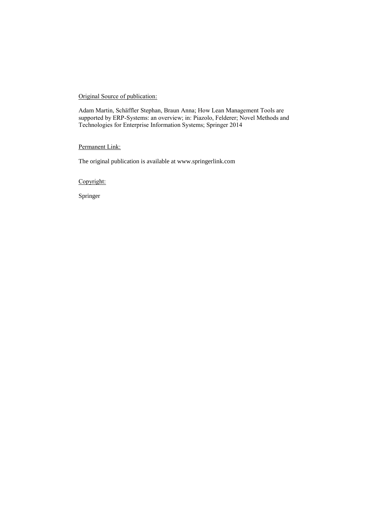### Original Source of publication:

Adam Martin, Schäffler Stephan, Braun Anna; How Lean Management Tools are supported by ERP-Systems: an overview; in: Piazolo, Felderer; Novel Methods and Technologies for Enterprise Information Systems; Springer 2014

### Permanent Link:

The original publication is available at www.springerlink.com

Copyright:

Springer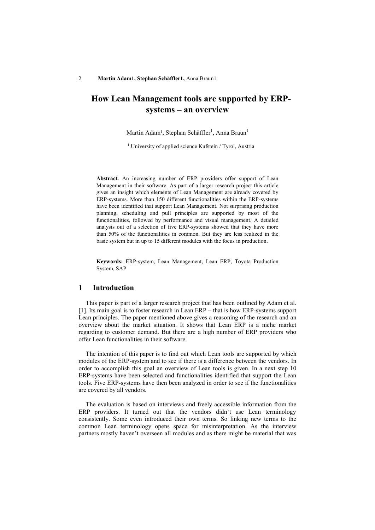# **How Lean Management tools are supported by ERPsystems – an overview**

Martin Adam<sup>1</sup>, Stephan Schäffler<sup>1</sup>, Anna Braun<sup>1</sup>

<sup>1</sup> University of applied science Kufstein / Tyrol, Austria

**Abstract.** An increasing number of ERP providers offer support of Lean Management in their software. As part of a larger research project this article gives an insight which elements of Lean Management are already covered by ERP-systems. More than 150 different functionalities within the ERP-systems have been identified that support Lean Management. Not surprising production planning, scheduling and pull principles are supported by most of the functionalities, followed by performance and visual management. A detailed analysis out of a selection of five ERP-systems showed that they have more than 50% of the functionalities in common. But they are less realized in the basic system but in up to 15 different modules with the focus in production.

**Keywords:** ERP-system, Lean Management, Lean ERP, Toyota Production System, SAP

### **1 Introduction**

This paper is part of a larger research project that has been outlined by Adam et al. [1]. Its main goal is to foster research in Lean ERP – that is how ERP-systems support Lean principles. The paper mentioned above gives a reasoning of the research and an overview about the market situation. It shows that Lean ERP is a niche market regarding to customer demand. But there are a high number of ERP providers who offer Lean functionalities in their software.

The intention of this paper is to find out which Lean tools are supported by which modules of the ERP-system and to see if there is a difference between the vendors. In order to accomplish this goal an overview of Lean tools is given. In a next step 10 ERP-systems have been selected and functionalities identified that support the Lean tools. Five ERP-systems have then been analyzed in order to see if the functionalities are covered by all vendors.

The evaluation is based on interviews and freely accessible information from the ERP providers. It turned out that the vendors didn't use Lean terminology consistently. Some even introduced their own terms. So linking new terms to the common Lean terminology opens space for misinterpretation. As the interview partners mostly haven't overseen all modules and as there might be material that was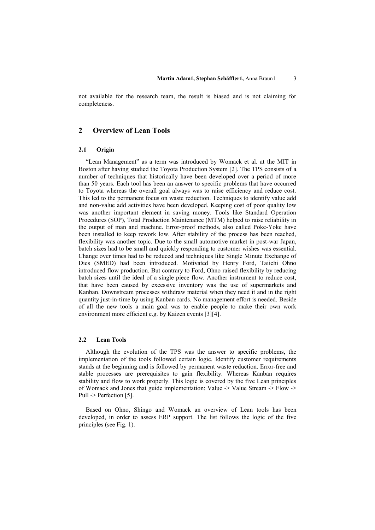not available for the research team, the result is biased and is not claiming for completeness.

# **2 Overview of Lean Tools**

#### **2.1 Origin**

"Lean Management" as a term was introduced by Womack et al. at the MIT in Boston after having studied the Toyota Production System [2]. The TPS consists of a number of techniques that historically have been developed over a period of more than 50 years. Each tool has been an answer to specific problems that have occurred to Toyota whereas the overall goal always was to raise efficiency and reduce cost. This led to the permanent focus on waste reduction. Techniques to identify value add and non-value add activities have been developed. Keeping cost of poor quality low was another important element in saving money. Tools like Standard Operation Procedures (SOP), Total Production Maintenance (MTM) helped to raise reliability in the output of man and machine. Error-proof methods, also called Poke-Yoke have been installed to keep rework low. After stability of the process has been reached, flexibility was another topic. Due to the small automotive market in post-war Japan, batch sizes had to be small and quickly responding to customer wishes was essential. Change over times had to be reduced and techniques like Single Minute Exchange of Dies (SMED) had been introduced. Motivated by Henry Ford, Taiichi Ohno introduced flow production. But contrary to Ford, Ohno raised flexibility by reducing batch sizes until the ideal of a single piece flow. Another instrument to reduce cost, that have been caused by excessive inventory was the use of supermarkets and Kanban. Downstream processes withdraw material when they need it and in the right quantity just-in-time by using Kanban cards. No management effort is needed. Beside of all the new tools a main goal was to enable people to make their own work environment more efficient e.g. by Kaizen events [3][4].

#### **2.2 Lean Tools**

Although the evolution of the TPS was the answer to specific problems, the implementation of the tools followed certain logic. Identify customer requirements stands at the beginning and is followed by permanent waste reduction. Error-free and stable processes are prerequisites to gain flexibility. Whereas Kanban requires stability and flow to work properly. This logic is covered by the five Lean principles of Womack and Jones that guide implementation: Value  $>$  Value Stream  $>$  Flow  $\ge$ Pull -> Perfection [5].

Based on Ohno, Shingo and Womack an overview of Lean tools has been developed, in order to assess ERP support. The list follows the logic of the five principles (see Fig. 1).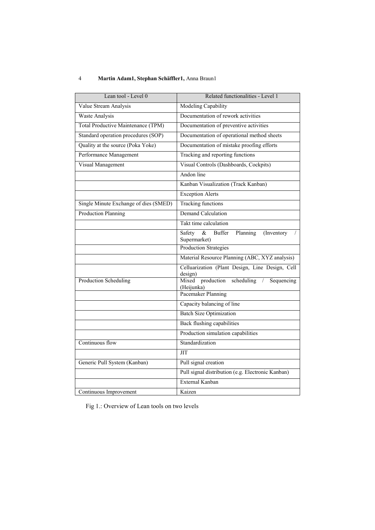# 4 **Martin Adam1, Stephan Schäffler1,** Anna Braun1

| Lean tool - Level 0                       | Related functionalities - Level 1                                              |
|-------------------------------------------|--------------------------------------------------------------------------------|
| Value Stream Analysis                     | Modeling Capability                                                            |
| <b>Waste Analysis</b>                     | Documentation of rework activities                                             |
| <b>Total Productive Maintenance (TPM)</b> | Documentation of preventive activities                                         |
| Standard operation procedures (SOP)       | Documentation of operational method sheets                                     |
| Quality at the source (Poka Yoke)         | Documentation of mistake proofing efforts                                      |
| Performance Management                    | Tracking and reporting functions                                               |
| Visual Management                         | Visual Controls (Dashboards, Cockpits)                                         |
|                                           | Andon line                                                                     |
|                                           | Kanban Visualization (Track Kanban)                                            |
|                                           | <b>Exception Alerts</b>                                                        |
| Single Minute Exchange of dies (SMED)     | <b>Tracking functions</b>                                                      |
| <b>Production Planning</b>                | <b>Demand Calculation</b>                                                      |
|                                           | Takt time calculation                                                          |
|                                           | $\alpha$<br>Planning<br>(Inventory)<br>Safety<br><b>Buffer</b><br>Supermarket) |
|                                           | <b>Production Strategies</b>                                                   |
|                                           | Material Resource Planning (ABC, XYZ analysis)                                 |
|                                           | Celluarization (Plant Design, Line Design, Cell<br>design)                     |
| Production Scheduling                     | production<br>Mixed<br>scheduling<br>$\sqrt{2}$<br>Sequencing<br>(Heijunka)    |
|                                           | Pacemaker Planning                                                             |
|                                           | Capacity balancing of line                                                     |
|                                           | <b>Batch Size Optimization</b>                                                 |
|                                           | Back flushing capabilities                                                     |
|                                           | Production simulation capabilities                                             |
| Continuous flow                           | Standardization                                                                |
|                                           | <b>JIT</b>                                                                     |
| Generic Pull System (Kanban)              | Pull signal creation                                                           |
|                                           | Pull signal distribution (e.g. Electronic Kanban)                              |
|                                           | External Kanban                                                                |
| Continuous Improvement                    | Kaizen                                                                         |

Fig 1.: Overview of Lean tools on two levels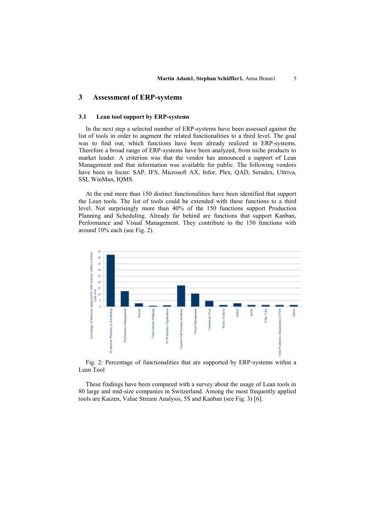### **3 Assessment of ERP-systems**

#### **3.1 Lean tool support by ERP-systems**

In the next step a selected number of ERP-systems have been assessed against the list of tools in order to augment the related functionalities to a third level. The goal was to find out, which functions have been already realized in ERP-systems. Therefore a broad range of ERP-systems have been analyzed, from niche products to market leader. A criterion was that the vendor has announced a support of Lean Management and that information was available for public. The following vendors have been in focus: SAP, IFS, Microsoft AX, Infor, Plex, QAD, Seradex, Ultriva, SSL WinMan, IQMS.

At the end more than 150 distinct functionalities have been identified that support the Lean tools. The list of tools could be extended with these functions to a third level. Not surprisingly more than 40% of the 150 functions support Production Planning and Scheduling. Already far behind are functions that support Kanban, Performance and Visual Management. They contribute to the 150 functions with around 10% each (see Fig. 2).



Fig. 2: Percentage of functionalities that are supported by ERP-systems within a Lean Tool

These findings have been compared with a survey about the usage of Lean tools in 80 large and mid-size companies in Switzerland. Among the most frequently applied tools are Kaizen, Value Stream Analysis, 5S and Kanban (see Fig. 3) [6].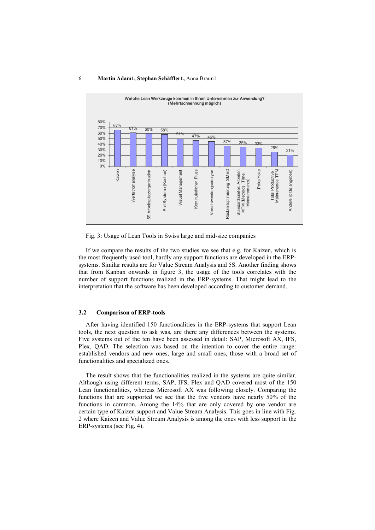#### 6 **Martin Adam1, Stephan Schäffler1,** Anna Braun1



Fig. 3: Usage of Lean Tools in Swiss large and mid-size companies

If we compare the results of the two studies we see that e.g. for Kaizen, which is the most frequently used tool, hardly any support functions are developed in the ERPsystems. Similar results are for Value Stream Analysis and 5S. Another finding shows that from Kanban onwards in figure 3, the usage of the tools correlates with the number of support functions realized in the ERP-systems. That might lead to the interpretation that the software has been developed according to customer demand.

#### **3.2 Comparison of ERP-tools**

After having identified 150 functionalities in the ERP-systems that support Lean tools, the next question to ask was, are there any differences between the systems. Five systems out of the ten have been assessed in detail: SAP, Microsoft AX, IFS, Plex, QAD. The selection was based on the intention to cover the entire range: established vendors and new ones, large and small ones, those with a broad set of functionalities and specialized ones.

The result shows that the functionalities realized in the systems are quite similar. Although using different terms, SAP, IFS, Plex and QAD covered most of the 150 Lean functionalities, whereas Microsoft AX was following closely. Comparing the functions that are supported we see that the five vendors have nearly 50% of the functions in common. Among the 14% that are only covered by one vendor are certain type of Kaizen support and Value Stream Analysis. This goes in line with Fig. 2 where Kaizen and Value Stream Analysis is among the ones with less support in the ERP-systems (see Fig. 4).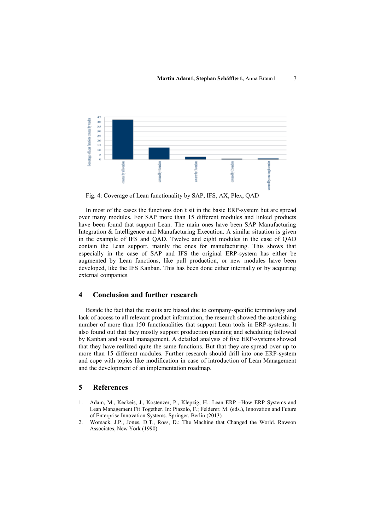

Fig. 4: Coverage of Lean functionality by SAP, IFS, AX, Plex, QAD

In most of the cases the functions don`t sit in the basic ERP-system but are spread over many modules. For SAP more than 15 different modules and linked products have been found that support Lean. The main ones have been SAP Manufacturing Integration & Intelligence and Manufacturing Execution. A similar situation is given in the example of IFS and QAD. Twelve and eight modules in the case of QAD contain the Lean support, mainly the ones for manufacturing. This shows that especially in the case of SAP and IFS the original ERP-system has either be augmented by Lean functions, like pull production, or new modules have been developed, like the IFS Kanban. This has been done either internally or by acquiring external companies.

### **4 Conclusion and further research**

Beside the fact that the results are biased due to company-specific terminology and lack of access to all relevant product information, the research showed the astonishing number of more than 150 functionalities that support Lean tools in ERP-systems. It also found out that they mostly support production planning and scheduling followed by Kanban and visual management. A detailed analysis of five ERP-systems showed that they have realized quite the same functions. But that they are spread over up to more than 15 different modules. Further research should drill into one ERP-system and cope with topics like modification in case of introduction of Lean Management and the development of an implementation roadmap.

### **5 References**

- 1. Adam, M., Keckeis, J., Kostenzer, P., Klepzig, H.: Lean ERP –How ERP Systems and Lean Management Fit Together. In: Piazolo, F.; Felderer, M. (eds.), Innovation and Future of Enterprise Innovation Systems. Springer, Berlin (2013)
- 2. Womack, J.P., Jones, D.T., Ross, D.: The Machine that Changed the World. Rawson Associates, New York (1990)